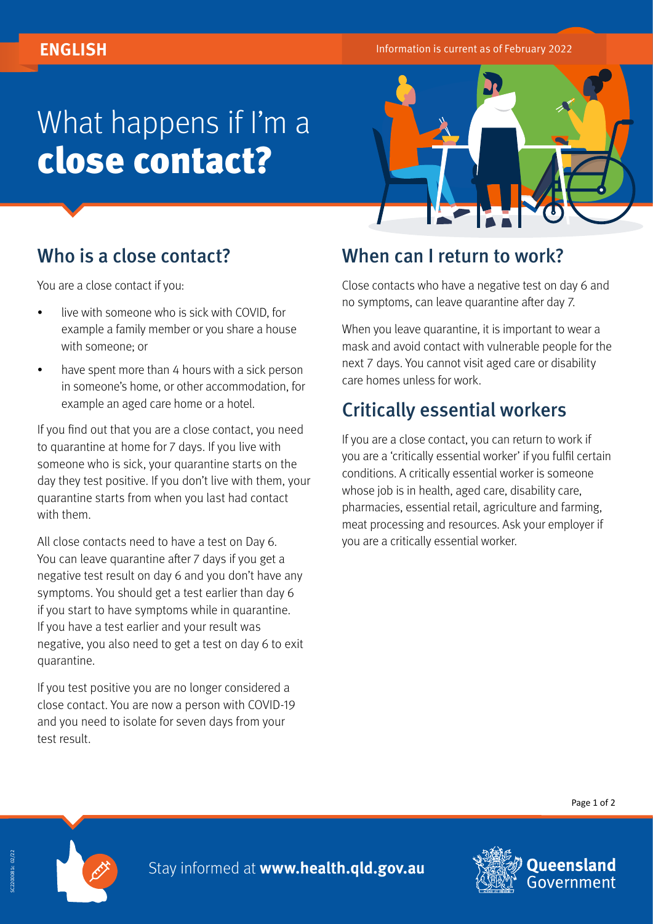# What happens if I'm a close contact?



## Who is a close contact?

You are a close contact if you:

- live with someone who is sick with COVID, for example a family member or you share a house with someone; or
- have spent more than 4 hours with a sick person in someone's home, or other accommodation, for example an aged care home or a hotel.

If you find out that you are a close contact, you need to quarantine at home for 7 days. If you live with someone who is sick, your quarantine starts on the day they test positive. If you don't live with them, your quarantine starts from when you last had contact with them.

All close contacts need to have a test on Day 6. You can leave quarantine after 7 days if you get a negative test result on day 6 and you don't have any symptoms. You should get a test earlier than day 6 if you start to have symptoms while in quarantine. If you have a test earlier and your result was negative, you also need to get a test on day 6 to exit quarantine.

If you test positive you are no longer considered a close contact. You are now a person with COVID-19 and you need to isolate for seven days from your test result.

#### When can I return to work?

Close contacts who have a negative test on day 6 and no symptoms, can leave quarantine after day 7.

When you leave quarantine, it is important to wear a mask and avoid contact with vulnerable people for the next 7 days. You cannot visit aged care or disability care homes unless for work.

### Critically essential workers

If you are a close contact, you can return to work if you are a 'critically essential worker' if you fulfil certain conditions. A critically essential worker is someone whose job is in health, aged care, disability care, pharmacies, essential retail, agriculture and farming, meat processing and resources. Ask your employer if you are a critically essential worker.

Page 1 of 2



Stay informed at **[www.health.qld.gov.au](http://www.health.qld.gov.au)**